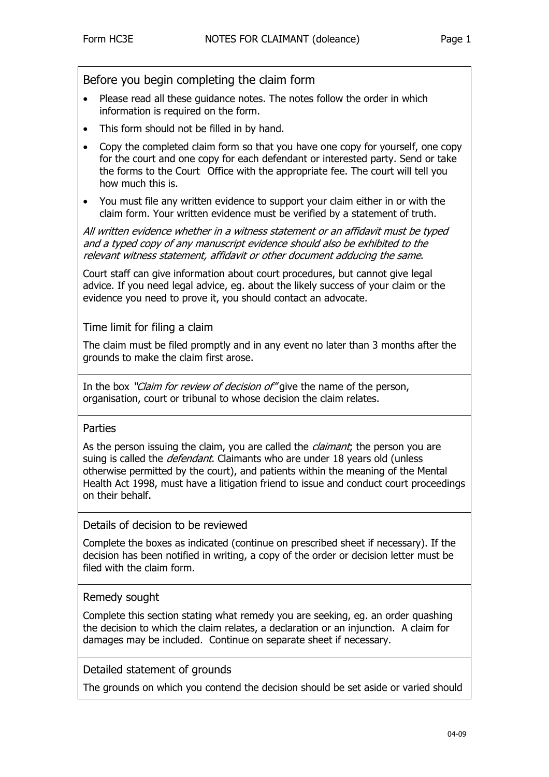Before you begin completing the claim form

- Please read all these guidance notes. The notes follow the order in which information is required on the form.
- This form should not be filled in by hand.
- Copy the completed claim form so that you have one copy for yourself, one copy for the court and one copy for each defendant or interested party. Send or take the forms to the Court Office with the appropriate fee. The court will tell you how much this is.
- You must file any written evidence to support your claim either in or with the claim form. Your written evidence must be verified by a statement of truth.

All written evidence whether in a witness statement or an affidavit must be typed and a typed copy of any manuscript evidence should also be exhibited to the relevant witness statement, affidavit or other document adducing the same.

Court staff can give information about court procedures, but cannot give legal advice. If you need legal advice, eg. about the likely success of your claim or the evidence you need to prove it, you should contact an advocate.

Time limit for filing a claim

The claim must be filed promptly and in any event no later than 3 months after the grounds to make the claim first arose.

In the box "Claim for review of decision of" give the name of the person, organisation, court or tribunal to whose decision the claim relates.

### Parties

As the person issuing the claim, you are called the *claimant*; the person you are suing is called the *defendant*. Claimants who are under 18 years old (unless otherwise permitted by the court), and patients within the meaning of the Mental Health Act 1998, must hav[e a](#page-1-0) litigation friend to issue and conduct court proceedings on their behalf.

Details of decision to be reviewed

Complete the boxes as indicated (continue on prescribed sheet if necessary). If the decision has been notified in writing, a copy of the order or decision letter must be filed with the claim form.

### Remedy sought

Complete this section stating what remedy you are seeking, eg. an order quashing the decision to which the claim relates, a declaration or an injunction. A claim for damages may be included. Continue on separate sheet if necessary.

Detailed statement of grounds

The grounds on which you contend the decision should be set aside or varied should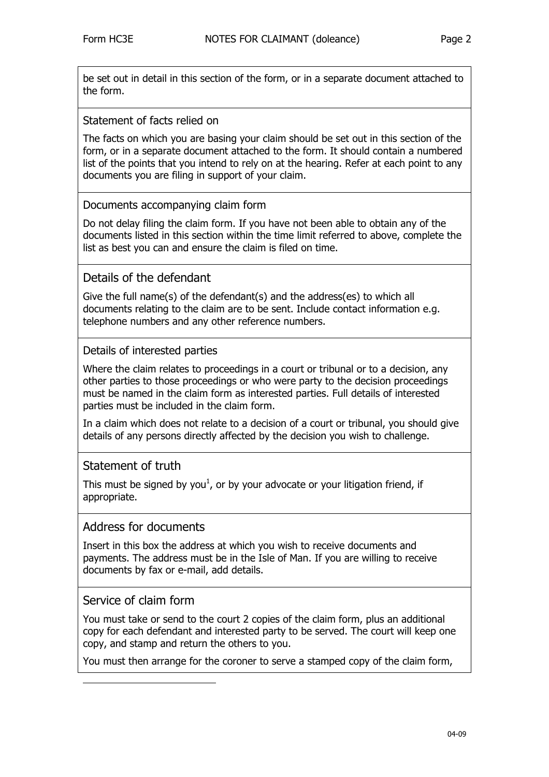be set out in detail in this section of the form, or in a separate document attached to the form.

## Statement of facts relied on

The facts on which you are basing your claim should be set out in this section of the form, or in a separate document attached to the form. It should contain a numbered list of the points that you intend to rely on at the hearing. Refer at each point to any documents you are filing in support of your claim.

# Documents accompanying claim form

Do not delay filing the claim form. If you have not been able to obtain any of the documents listed in this section within the time limit referred to above, complete the list as best you can and ensure the claim is filed on time.

# Details of the defendant

Give the full name(s) of the defendant(s) and the address(es) to which all documents relating to the claim are to be sent. Include contact information e.g. telephone numbers and any other reference numbers.

### Details of interested parties

Where the claim relates to proceedings in a court or tribunal or to a decision, any other parties to those proceedings or who were party to the decision proceedings must be named in the claim form as interested parties. Full details of interested parties must be included in the claim form.

In a claim which does not relate to a decision of a court or tribunal, you should give details of any persons directly affected by the decision you wish to challenge.

# Statement of truth

This must be signed by you<sup>1</sup>, or by your advocate or your litigation friend, if appropriate.

# Address for documents

Insert in this box the address at which you wish to receive documents and payments. The address must be in the Isle of Man. If you are willing to receive documents by fax or e-mail, add details.

# Service of claim form

<span id="page-1-0"></span>j

You must take or send to the court 2 copies of the claim form, plus an additional copy for each defendant and interested party to be served. The court will keep one copy, and stamp and return the others to you.

You must then arrange for the coroner to serve a stamped copy of the claim form,